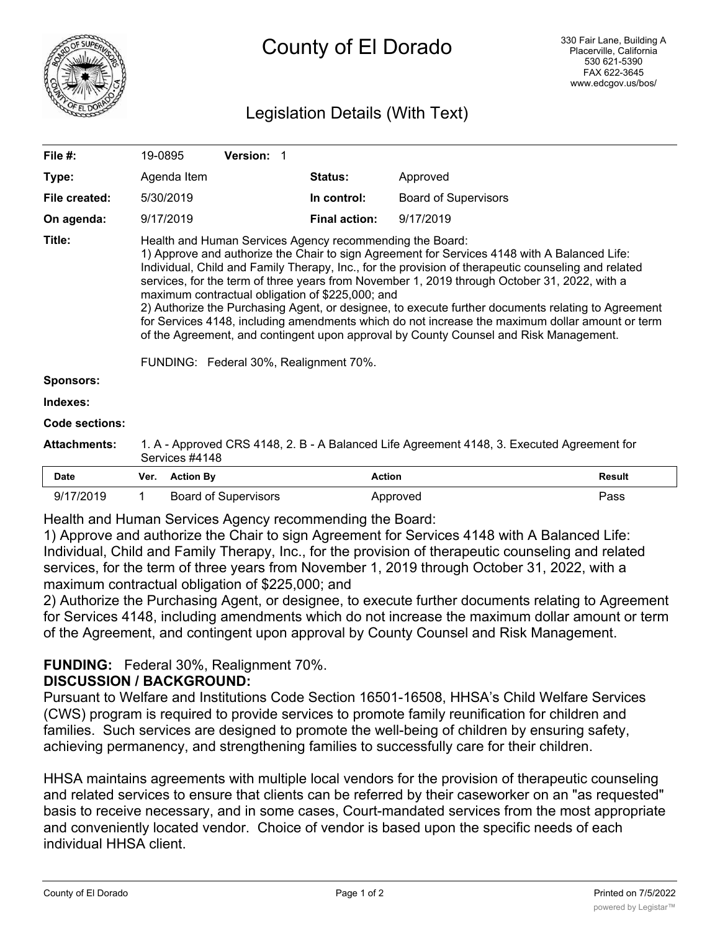

## Legislation Details (With Text)

| File $#$ :          | 19-0895                                                                                                                                                                                                                                                                                                                                                                                                                                                                                                                                                                                                                                                                                                                                                         |                  | Version: 1                  |  |                      |                             |               |
|---------------------|-----------------------------------------------------------------------------------------------------------------------------------------------------------------------------------------------------------------------------------------------------------------------------------------------------------------------------------------------------------------------------------------------------------------------------------------------------------------------------------------------------------------------------------------------------------------------------------------------------------------------------------------------------------------------------------------------------------------------------------------------------------------|------------------|-----------------------------|--|----------------------|-----------------------------|---------------|
| Type:               |                                                                                                                                                                                                                                                                                                                                                                                                                                                                                                                                                                                                                                                                                                                                                                 | Agenda Item      |                             |  | <b>Status:</b>       | Approved                    |               |
| File created:       |                                                                                                                                                                                                                                                                                                                                                                                                                                                                                                                                                                                                                                                                                                                                                                 | 5/30/2019        |                             |  | In control:          | <b>Board of Supervisors</b> |               |
| On agenda:          |                                                                                                                                                                                                                                                                                                                                                                                                                                                                                                                                                                                                                                                                                                                                                                 | 9/17/2019        |                             |  | <b>Final action:</b> | 9/17/2019                   |               |
| Title:              | Health and Human Services Agency recommending the Board:<br>1) Approve and authorize the Chair to sign Agreement for Services 4148 with A Balanced Life:<br>Individual, Child and Family Therapy, Inc., for the provision of therapeutic counseling and related<br>services, for the term of three years from November 1, 2019 through October 31, 2022, with a<br>maximum contractual obligation of \$225,000; and<br>2) Authorize the Purchasing Agent, or designee, to execute further documents relating to Agreement<br>for Services 4148, including amendments which do not increase the maximum dollar amount or term<br>of the Agreement, and contingent upon approval by County Counsel and Risk Management.<br>FUNDING: Federal 30%, Realignment 70%. |                  |                             |  |                      |                             |               |
| <b>Sponsors:</b>    |                                                                                                                                                                                                                                                                                                                                                                                                                                                                                                                                                                                                                                                                                                                                                                 |                  |                             |  |                      |                             |               |
| Indexes:            |                                                                                                                                                                                                                                                                                                                                                                                                                                                                                                                                                                                                                                                                                                                                                                 |                  |                             |  |                      |                             |               |
| Code sections:      |                                                                                                                                                                                                                                                                                                                                                                                                                                                                                                                                                                                                                                                                                                                                                                 |                  |                             |  |                      |                             |               |
| <b>Attachments:</b> | 1. A - Approved CRS 4148, 2. B - A Balanced Life Agreement 4148, 3. Executed Agreement for<br>Services #4148                                                                                                                                                                                                                                                                                                                                                                                                                                                                                                                                                                                                                                                    |                  |                             |  |                      |                             |               |
| <b>Date</b>         | Ver.                                                                                                                                                                                                                                                                                                                                                                                                                                                                                                                                                                                                                                                                                                                                                            | <b>Action By</b> |                             |  | <b>Action</b>        |                             | <b>Result</b> |
| 9/17/2019           | 1                                                                                                                                                                                                                                                                                                                                                                                                                                                                                                                                                                                                                                                                                                                                                               |                  | <b>Board of Supervisors</b> |  |                      | Approved                    | Pass          |

Health and Human Services Agency recommending the Board:

1) Approve and authorize the Chair to sign Agreement for Services 4148 with A Balanced Life: Individual, Child and Family Therapy, Inc., for the provision of therapeutic counseling and related services, for the term of three years from November 1, 2019 through October 31, 2022, with a maximum contractual obligation of \$225,000; and

2) Authorize the Purchasing Agent, or designee, to execute further documents relating to Agreement for Services 4148, including amendments which do not increase the maximum dollar amount or term of the Agreement, and contingent upon approval by County Counsel and Risk Management.

# **FUNDING:** Federal 30%, Realignment 70%.

### **DISCUSSION / BACKGROUND:**

Pursuant to Welfare and Institutions Code Section 16501-16508, HHSA's Child Welfare Services (CWS) program is required to provide services to promote family reunification for children and families. Such services are designed to promote the well-being of children by ensuring safety, achieving permanency, and strengthening families to successfully care for their children.

HHSA maintains agreements with multiple local vendors for the provision of therapeutic counseling and related services to ensure that clients can be referred by their caseworker on an "as requested" basis to receive necessary, and in some cases, Court-mandated services from the most appropriate and conveniently located vendor. Choice of vendor is based upon the specific needs of each individual HHSA client.